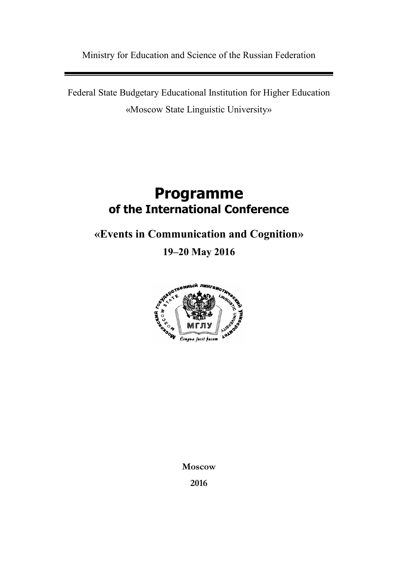Ministry for Education and Science of the Russian Federation

Federal State Budgetary Educational Institution for Higher Education «Moscow State Linguistic University»

# **Programme of the International Conference**

**«Events in Communication and Cognition»**

**19–20 May 2016**



**Moscow**

**2016**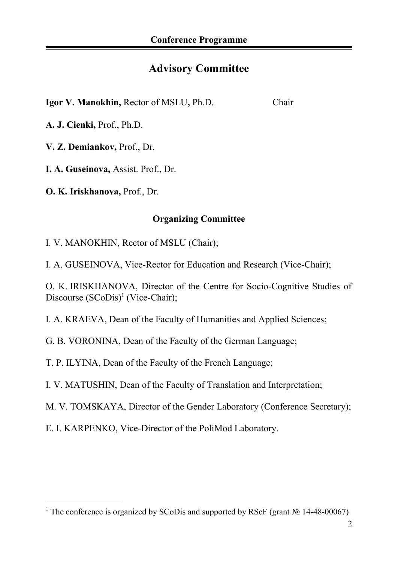# **Advisory Committee**

**Igor V. Manokhin,** Rector of MSLU**,** Ph.D. Chair

**A. J. Cienki,** Prof., Ph.D.

**V. Z. Demiankov,** Prof., Dr.

**I. A. Guseinova,** Assist. Prof., Dr.

**O. K. Iriskhanova,** Prof., Dr.

# **Organizing Committee**

I. V. MANOKHIN, Rector of MSLU (Chair);

I. A. GUSEINOVA, Vice-Rector for Education and Research (Vice-Chair);

O. K. IRISKHANOVA, Director of the Centre for Socio-Cognitive Studies of Discourse  $(SCoDis)^1$  $(SCoDis)^1$  (Vice-Chair);

I. A. KRAEVA, Dean of the Faculty of Humanities and Applied Sciences;

G. B. VORONINA, Dean of the Faculty of the German Language;

T. P. ILYINA, Dean of the Faculty of the French Language;

I. V. MATUSHIN, Dean of the Faculty of Translation and Interpretation;

M. V. TOMSKAYA, Director of the Gender Laboratory (Conference Secretary);

E. I. KARPENKO, Vice-Director of the PoliMod Laboratory.

<span id="page-1-0"></span><sup>&</sup>lt;sup>1</sup> The conference is organized by SCoDis and supported by RScF (grant № 14-48-00067)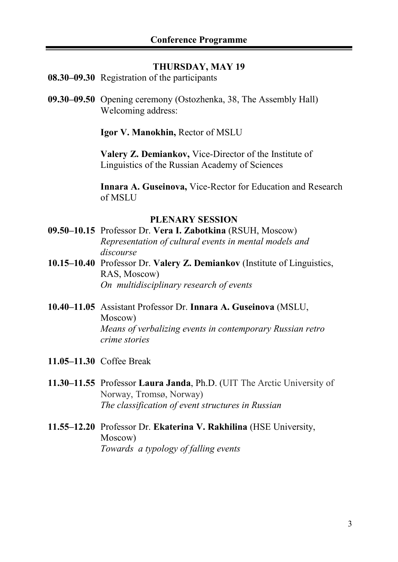#### **THURSDAY, MAY 19**

- **08.30–09.30** Registration of the participants
- **09.30–09.50** Opening ceremony (Ostozhenka, 38, The Assembly Hall) Welcoming address:

**Igor V. Manokhin,** Rector of MSLU

**Valery Z. Demiankov,** Vice-Director of the Institute of Linguistics of the Russian Academy of Sciences

**Innara A. Guseinova,** Vice-Rector for Education and Research of MSLU

#### **PLENARY SESSION**

- **09.50–10.15** Professor Dr. **Vera I. Zabotkina** (RSUH, Moscow) *Representation of cultural events in mental models and discourse*
- **10.15–10.40** Professor Dr. **Valery Z. Demiankov** (Institute of Linguistics, RAS, Moscow) *On multidisciplinary research of events*
- **10.40–11.05** Assistant Professor Dr. **Innara A. Guseinova** (MSLU, Moscow) *Means of verbalizing events in contemporary Russian retro crime stories*
- **11.05–11.30** Coffee Break
- **11.30–11.55** Professor **Laura Janda**, Ph.D. (UIT The Arctic University of Norway, Tromsø, Norway) *The classification of event structures in Russian*
- **11.55–12.20** Professor Dr. **Ekaterina V. Rakhilina** (HSE University, Moscow) *Towards a typology of falling events*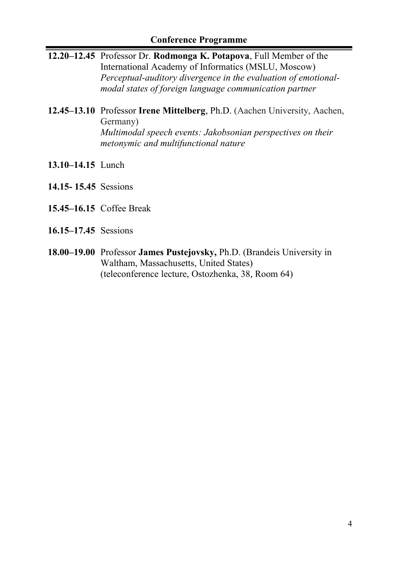# **Conference Programme**

- **12.20–12.45** Professor Dr. **Rodmonga K. Potapova**, Full Member of the International Academy of Informatics (MSLU, Moscow) *Perceptual-auditory divergence in the evaluation of emotionalmodal states of foreign language communication partner*
- **12.45–13.10** Professor **Irene Mittelberg**, Ph.D. (Aachen University, Aachen, Germany) *Multimodal speech events: Jakobsonian perspectives on their metonymic and multifunctional nature*
- **13.10–14.15** Lunch
- **14.15- 15.45** Sessions
- **15.45–16.15** Coffee Break
- **16.15–17.45** Sessions
- **18.00–19.00** Professor **James Pustejovsky,** Ph.D. (Brandeis University in Waltham, Massachusetts, United States) (teleconference lecture, Ostozhenka, 38, Room 64)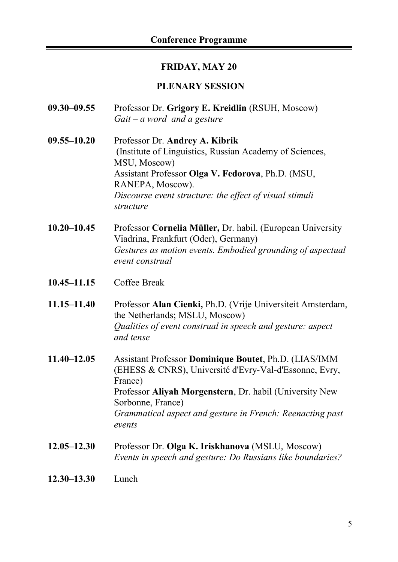### **FRIDAY, MAY 20**

### **PLENARY SESSION**

- **09.30–09.55** Professor Dr. **Grigory E. Kreidlin** (RSUH, Moscow) *Gait – a word and a gesture*
- **09.55–10.20** Professor Dr. **Andrey A. Kibrik** (Institute of Linguistics, Russian Academy of Sciences, MSU, Moscow) Assistant Professor **Olga V. Fedorova**, Ph.D. (MSU, RANEPA, Moscow). *Discourse event structure: the effect of visual stimuli structure*
- **10.20–10.45** Professor **Cornelia Müller,** Dr. habil. (European University Viadrina, Frankfurt (Oder), Germany) *Gestures as motion events. Embodied grounding of aspectual event construal*
- **10.45–11.15** Coffee Break
- **11.15–11.40** Professor **Alan Cienki,** Ph.D. (Vrije Universiteit Amsterdam, the Netherlands; MSLU, Moscow) *Qualities of event construal in speech and gesture: aspect and tense*
- **11.40–12.05** Assistant Professor **Dominique Boutet**, Ph.D. (LIAS/IMM (EHESS & CNRS), Université d'Evry-Val-d'Essonne, Evry, France) Professor **Aliyah Morgenstern**, Dr. habil (University New Sorbonne, France) *Grammatical aspect and gesture in French: Reenacting past events*
- **12.05–12.30** Professor Dr. **Olga K. Iriskhanova** (MSLU, Moscow) *Events in speech and gesture: Do Russians like boundaries?*
- **12.30–13.30** Lunch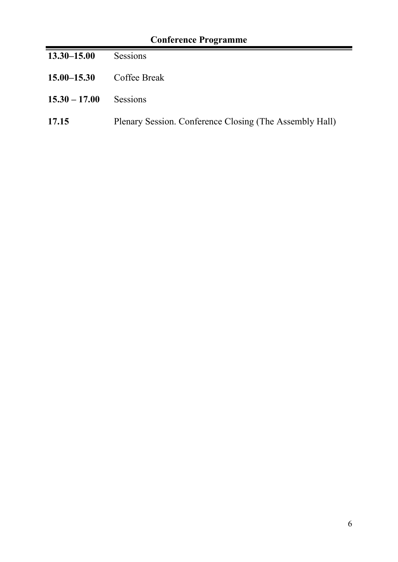| <b>Conference Programme</b> |                                                         |  |
|-----------------------------|---------------------------------------------------------|--|
| $13.30 - 15.00$             | <b>Sessions</b>                                         |  |
| $15.00 - 15.30$             | Coffee Break                                            |  |
| $15.30 - 17.00$             | <b>Sessions</b>                                         |  |
| 17.15                       | Plenary Session. Conference Closing (The Assembly Hall) |  |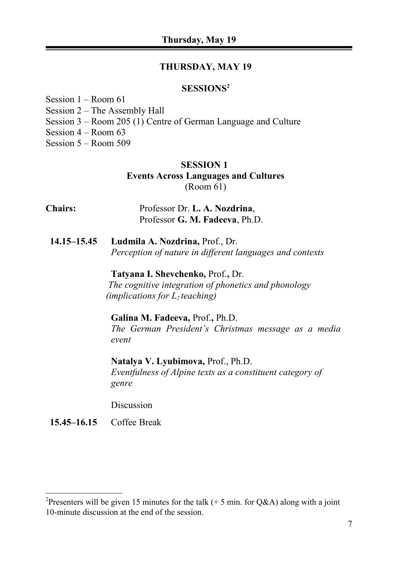### **THURSDAY, MAY 19**

# **SESSIONS[2](#page-6-0)**

Session 1 – Room 61 Session 2 – The Assembly Hall Session 3 – Room 205 (1) Centre of German Language and Culture Session 4 – Room 63 Session 5 – Room 509

# **SESSION 1 Events Across Languages and Cultures** (Room 61)

| <b>Chairs:</b> | Professor Dr. L. A. Nozdrina,  |
|----------------|--------------------------------|
|                | Professor G. M. Fadeeva, Ph.D. |
|                |                                |

**14.15–15.45 Ludmila A. Nozdrina,** Prof., Dr. *Perception of nature in different languages and contexts*

# **Tatyana I. Shevchenko,** Prof.**,** Dr.  *The cognitive integration of phonetics and phonology (implications for L2 teaching)*

# **Galina M. Fadeeva,** Prof.**,** Ph.D. *The German President's Christmas message as a media event*

**Natalya V. Lyubimova,** Prof., Ph.D. *Eventfulness of Alpine texts as a constituent category of genre*

Discussion

# **15.45–16.15** Coffee Break

<span id="page-6-0"></span><sup>&</sup>lt;sup>2</sup>Presenters will be given 15 minutes for the talk (+ 5 min. for Q&A) along with a joint 10-minute discussion at the end of the session.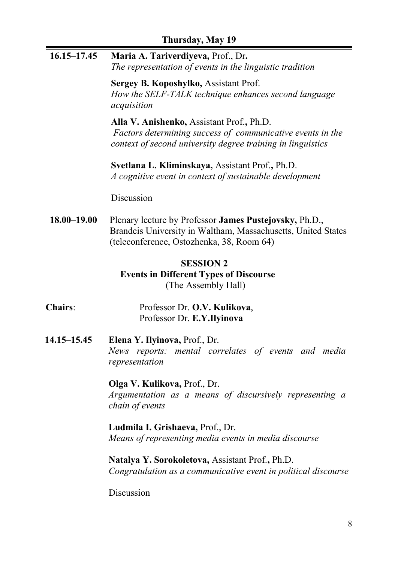| 16.15-17.45 | Maria A. Tariverdiyeva, Prof., Dr.<br>The representation of events in the linguistic tradition                                                                         |
|-------------|------------------------------------------------------------------------------------------------------------------------------------------------------------------------|
|             | Sergey B. Koposhylko, Assistant Prof.<br>How the SELF-TALK technique enhances second language<br>acquisition                                                           |
|             | Alla V. Anishenko, Assistant Prof., Ph.D.<br>Factors determining success of communicative events in the<br>context of second university degree training in linguistics |
|             | Svetlana L. Kliminskaya, Assistant Prof., Ph.D.<br>A cognitive event in context of sustainable development                                                             |
|             | Discussion                                                                                                                                                             |
| 18.00-19.00 | Plenary lecture by Professor James Pustejovsky, Ph.D.,<br>Brandeis University in Waltham, Massachusetts, United States<br>(teleconference, Ostozhenka, 38, Room 64)    |
|             | <b>SESSION 2</b><br><b>Events in Different Types of Discourse</b><br>(The Assembly Hall)                                                                               |
| Chairs:     | Professor Dr. O.V. Kulikova,<br>Professor Dr. E.Y.Ilyinova                                                                                                             |
| 14.15-15.45 | Elena Y. Ilyinova, Prof., Dr.<br>News reports: mental correlates of events and media<br>representation                                                                 |
|             | Olga V. Kulikova, Prof., Dr.<br>Argumentation as a means of discursively representing a<br>chain of events                                                             |
|             | Ludmila I. Grishaeva, Prof., Dr.<br>Means of representing media events in media discourse                                                                              |
|             | Natalya Y. Sorokoletova, Assistant Prof., Ph.D.                                                                                                                        |

*Congratulation as a communicative event in political discourse*

Discussion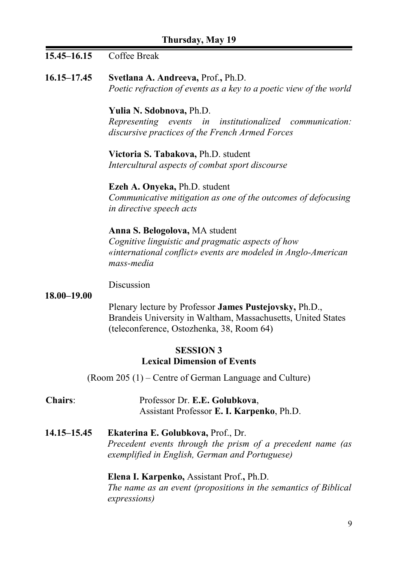# **15.45–16.15** Coffee Break

**16.15–17.45 Svetlana A. Andreeva,** Prof.**,** Ph.D. *Poetic refraction of events as a key to a poetic view of the world*

> **Yulia N. Sdobnova,** Ph.D. *Representing events in institutionalized communication: discursive practices of the French Armed Forces*

**Victoria S. Tabakova,** Ph.D. student *Intercultural aspects of combat sport discourse*

**Ezeh A. Onyeka,** Ph.D. student *Communicative mitigation as one of the outcomes of defocusing in directive speech acts*

#### **Anna S. Belogolova,** MA student

*Cognitive linguistic and pragmatic aspects of how «international conflict» events are modeled in Anglo-American mass-media*

Discussion

#### **18.00–19.00**

Plenary lecture by Professor **James Pustejovsky,** Ph.D., Brandeis University in Waltham, Massachusetts, United States (teleconference, Ostozhenka, 38, Room 64)

# **SESSION 3 Lexical Dimension of Events**

(Room 205 (1) – Centre of German Language and Culture)

- **Chairs**: Professor Dr. **E.E. Golubkova**, Assistant Professor **E. I. Karpenko**, Ph.D.
- **14.15–15.45 Ekaterina E. Golubkova,** Prof., Dr. *Precedent events through the prism of a precedent name (as exemplified in English, German and Portuguese)*

**Elena I. Karpenko,** Assistant Prof.**,** Ph.D. *The name as an event (propositions in the semantics of Biblical expressions)*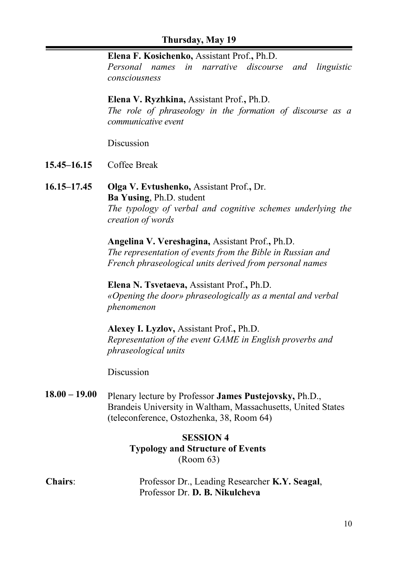#### **Elena F. Kosichenko,** Assistant Prof.**,** Ph.D.

*Personal names in narrative discourse and linguistic consciousness*

#### **Elena V. Ryzhkina,** Assistant Prof.**,** Ph.D.

*The role of phraseology in the formation of discourse as a communicative event*

Discussion

- **15.45–16.15** Coffee Break
- **16.15–17.45 Olga V. Evtushenko,** Assistant Prof.**,** Dr. **Ba Yusing**, Ph.D. student *The typology of verbal and cognitive schemes underlying the creation of words*

**Angelina V. Vereshagina,** Assistant Prof.**,** Ph.D. *The representation of events from the Bible in Russian and French phraseological units derived from personal names*

**Elena N. Tsvetaeva,** Assistant Prof.**,** Ph.D. *«Opening the door» phraseologically as a mental and verbal phenomenon*

**Alexey I. Lyzlov,** Assistant Prof.**,** Ph.D. *Representation of the event GAME in English proverbs and phraseological units*

**Discussion** 

**18.00 – 19.00** Plenary lecture by Professor **James Pustejovsky,** Ph.D., Brandeis University in Waltham, Massachusetts, United States (teleconference, Ostozhenka, 38, Room 64)

# **SESSION 4 Typology and Structure of Events** (Room 63)

**Chairs**: Professor Dr., Leading Researcher **K.Y. Seagal**, Professor Dr. **D. B. Nikulcheva**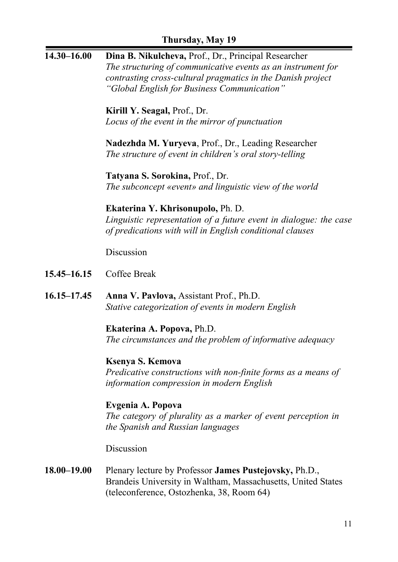| $14.30 - 16.00$ | Dina B. Nikulcheva, Prof., Dr., Principal Researcher                                                                          |
|-----------------|-------------------------------------------------------------------------------------------------------------------------------|
|                 | The structuring of communicative events as an instrument for                                                                  |
|                 | contrasting cross-cultural pragmatics in the Danish project                                                                   |
|                 | "Global English for Business Communication"                                                                                   |
|                 | Kirill Y. Seagal, Prof., Dr.                                                                                                  |
|                 | Locus of the event in the mirror of punctuation                                                                               |
|                 |                                                                                                                               |
|                 | Nadezhda M. Yuryeva, Prof., Dr., Leading Researcher                                                                           |
|                 | The structure of event in children's oral story-telling                                                                       |
|                 | Tatyana S. Sorokina, Prof., Dr.                                                                                               |
|                 | The subconcept «event» and linguistic view of the world                                                                       |
|                 |                                                                                                                               |
|                 | Ekaterina Y. Khrisonupolo, Ph. D.                                                                                             |
|                 | Linguistic representation of a future event in dialogue: the case<br>of predications with will in English conditional clauses |
|                 |                                                                                                                               |
|                 | Discussion                                                                                                                    |
| 15.45 - 16.15   | Coffee Break                                                                                                                  |
| 16.15–17.45     | Anna V. Pavlova, Assistant Prof., Ph.D.                                                                                       |
|                 | Stative categorization of events in modern English                                                                            |
|                 |                                                                                                                               |
|                 | Ekaterina A. Popova, Ph.D.                                                                                                    |
|                 | The circumstances and the problem of informative adequacy                                                                     |
|                 | Ksenya S. Kemova                                                                                                              |
|                 | Predicative constructions with non-finite forms as a means of                                                                 |
|                 | information compression in modern English                                                                                     |
|                 |                                                                                                                               |
|                 | Evgenia A. Popova<br>The category of plurality as a marker of event perception in                                             |
|                 | the Spanish and Russian languages                                                                                             |
|                 |                                                                                                                               |
|                 | Discussion                                                                                                                    |
| $18.00 - 19.00$ | Plenary lecture by Professor James Pustejovsky, Ph.D.,                                                                        |
|                 | Brandeis University in Waltham, Massachusetts, United States                                                                  |
|                 | (teleconference, Ostozhenka, 38, Room 64)                                                                                     |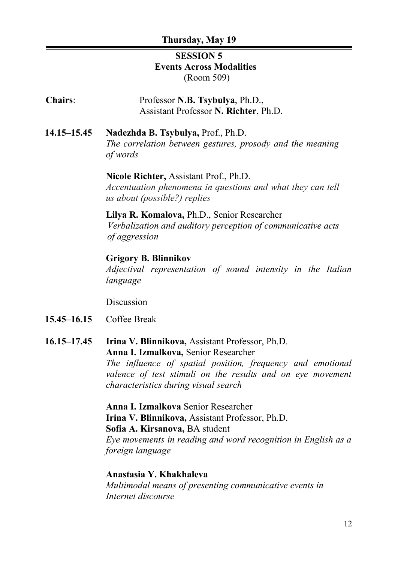# **SESSION 5 Events Across Modalities** (Room 509)

**Chairs**: Professor **N.B. Tsybulya**, Ph.D., Assistant Professor **N. Richter**, Ph.D.

**14.15–15.45 Nadezhda B. Tsybulya,** Prof., Ph.D. *The correlation between gestures, prosody and the meaning of words*

#### **Nicole Richter,** Assistant Prof., Ph.D.

*Accentuation phenomena in questions and what they can tell us about (possible?) replies*

#### **Lilya R. Komalova,** Ph.D., Senior Researcher

*Verbalization and auditory perception of communicative acts of aggression*

#### **Grigory B. Blinnikov**

*Adjectival representation of sound intensity in the Italian language*

Discussion

- **15.45–16.15** Coffee Break
- **16.15–17.45 Irina V. Blinnikova,** Assistant Professor, Ph.D. **Anna I. Izmalkova,** Senior Researcher

*The influence of spatial position, frequency and emotional valence of test stimuli on the results and on eye movement characteristics during visual search*

**Anna I. Izmalkova** Senior Researcher **Irina V. Blinnikova,** Assistant Professor, Ph.D. **Sofia A. Kirsanova,** BA student *Eye movements in reading and word recognition in English as a foreign language*

#### **Anastasia Y. Khakhaleva**

*Multimodal means of presenting communicative events in Internet discourse*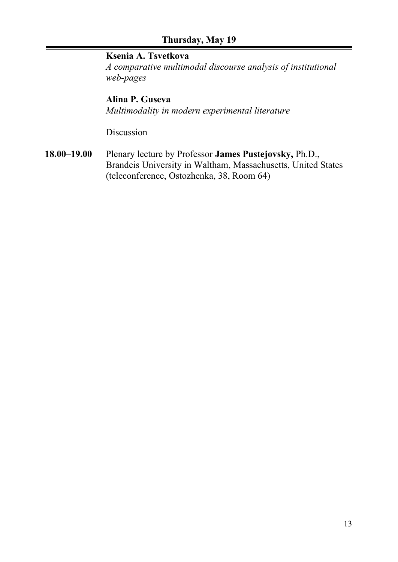# **Ksenia A. Tsvetkova**

*A comparative multimodal discourse analysis of institutional web-pages*

# **Alina P. Guseva**

*Multimodality in modern experimental literature*

Discussion

**18.00–19.00** Plenary lecture by Professor **James Pustejovsky,** Ph.D., Brandeis University in Waltham, Massachusetts, United States (teleconference, Ostozhenka, 38, Room 64)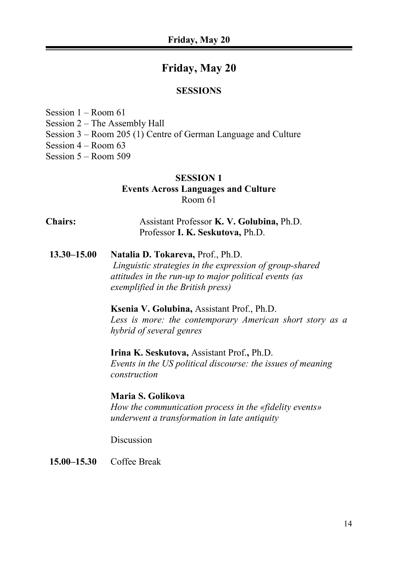# **Friday, May 20**

#### **SESSIONS**

Session 1 – Room 61 Session 2 – The Assembly Hall Session 3 – Room 205 (1) Centre of German Language and Culture Session 4 – Room 63 Session 5 – Room 509

# **SESSION 1 Events Across Languages and Culture** Room 61

**Chairs:** Assistant Professor **K. V. Golubina,** Ph.D. Professor **I. K. Seskutova,** Ph.D.

**13.30–15.00 Natalia D. Tokareva,** Prof., Ph.D.  *Linguistic strategies in the expression of group-shared attitudes in the run-up to major political events (as exemplified in the British press)*

> **Ksenia V. Golubina,** Assistant Prof., Ph.D. *Less is more: the contemporary American short story as a hybrid of several genres*

**Irina K. Seskutova,** Assistant Prof.**,** Ph.D. *Events in the US political discourse: the issues of meaning construction* 

**Maria S. Golikova** *How the communication process in the «fidelity events» underwent a transformation in late antiquity*

Discussion

**15.00–15.30** Coffee Break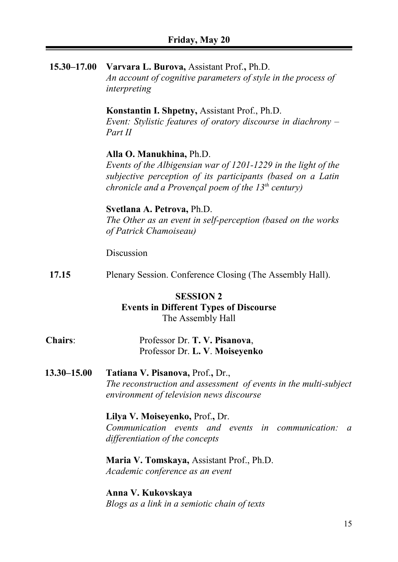**15.30–17.00 Varvara L. Burova,** Assistant Prof.**,** Ph.D. *An account of cognitive parameters of style in the process of interpreting*

#### **Konstantin I. Shpetny,** Assistant Prof., Ph.D.

*Event: Stylistic features of oratory discourse in diachrony – Part II*

#### **Alla O. Manukhina,** Ph.D.

*Events of the Albigensian war of 1201-1229 in the light of the subjective perception of its participants (based on a Latin chronicle and a Provençal poem of the 13th century)*

### **Svetlana A. Petrova,** Ph.D.

*The Other as an event in self-perception (based on the works of Patrick Chamoiseau)*

Discussion

**17.15** Plenary Session. Conference Closing (The Assembly Hall).

### **SESSION 2**

#### **Events in Different Types of Discourse** The Assembly Hall

# **Chairs**: Professor Dr. **T. V. Pisanova**, Professor Dr. **L. V**. **Moiseyenko**

**13.30–15.00 Tatiana V. Pisanova,** Prof.**,** Dr., *The reconstruction and assessment of events in the multi-subject environment of television news discourse*

# **Lilya V. Moiseyenko,** Prof.**,** Dr.

*Communication events and events in communication: a differentiation of the concepts*

**Maria V. Tomskaya,** Assistant Prof., Ph.D. *Academic conference as an event*

**Anna V. Kukovskaya** *Blogs as a link in a semiotic chain of texts*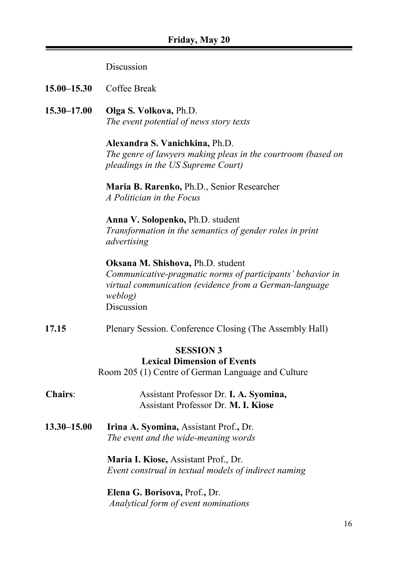#### Discussion

**15.00–15.30** Coffee Break

**15.30–17.00 Olga S. Volkova,** Ph.D. *The event potential of news story texts*

> **Alexandra S. Vanichkina,** Ph.D. *The genre of lawyers making pleas in the courtroom (based on pleadings in the US Supreme Court)*

**Maria B. Rarenko,** Ph.D., Senior Researcher *A Politician in the Focus*

**Anna V. Solopenko,** Ph.D. student *Transformation in the semantics of gender roles in print advertising* 

# **Oksana M. Shishova,** Ph.D. student *Communicative-pragmatic norms of participants' behavior in virtual communication (evidence from a German-language weblog)*  Discussion

**17.15** Plenary Session. Conference Closing (The Assembly Hall)

# **SESSION 3**

# **Lexical Dimension of Events**

Room 205 (1) Centre of German Language and Culture

- **Chairs**: Assistant Professor Dr. **I. A. Syomina,** Assistant Professor Dr. **M. I. Kiose**
- **13.30–15.00 Irina A. Syomina,** Assistant Prof.**,** Dr. *The event and the wide-meaning words*

**Maria I. Kiose,** Assistant Prof., Dr. *Event construal in textual models of indirect naming*

**Elena G. Borisova,** Prof.**,** Dr. *Analytical form of event nominations*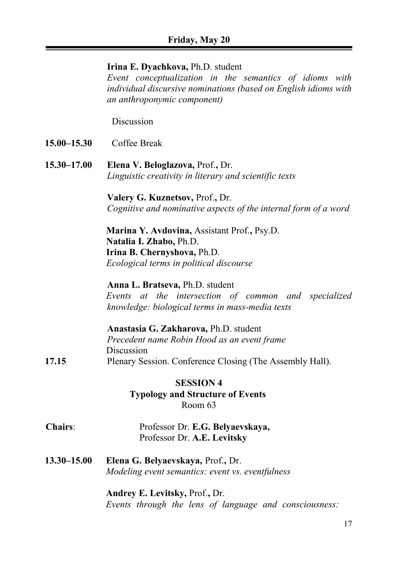#### **Irina E. Dyachkova,** Ph.D. student

*Event conceptualization in the semantics of idioms with individual discursive nominations (based on English idioms with an anthroponymic component)*

Discussion

- **15.00–15.30** Coffee Break
- **15.30–17.00 Elena V. Beloglazova,** Prof.**,** Dr. *Linguistic creativity in literary and scientific texts*

**Valery G. Kuznetsov,** Prof.**,** Dr. *Cognitive and nominative aspects of the internal form of a word*

**Marina Y. Avdovina,** Assistant Prof.**,** Psy.D. **Natalia I. Zhabo,** Ph.D. **Irina B. Chernyshova,** Ph.D. *Ecological terms in political discourse*

**Anna L. Bratseva,** Ph.D. student *Events at the intersection of common and specialized knowledge: biological terms in mass-media texts*

|       | Anastasia G. Zakharova, Ph.D. student                    |
|-------|----------------------------------------------------------|
|       | Precedent name Robin Hood as an event frame              |
|       | Discussion                                               |
| 17.15 | Plenary Session. Conference Closing (The Assembly Hall). |

**SESSION 4 Typology and Structure of Events** Room 63

- **Chairs**: Professor Dr. **E.G. Belyaevskaya,** Professor Dr. **A.E. Levitsky**
- **13.30–15.00 Elena G. Belyaevskaya,** Prof.**,** Dr. *Modeling event semantics: event vs. eventfulness*

**Andrey E. Levitsky,** Prof.**,** Dr. *Events through the lens of language and consciousness:*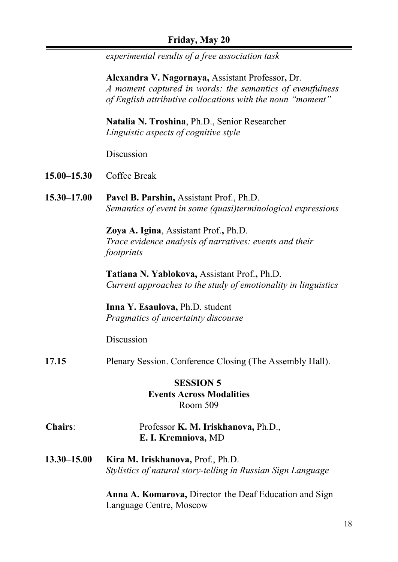# **Friday, May 20**

*experimental results of a free association task*

**Alexandra V. Nagornaya,** Assistant Professor**,** Dr. *A moment captured in words: the semantics of eventfulness of English attributive collocations with the noun "moment"*

**Natalia N. Troshina**, Ph.D., Senior Researcher *Linguistic aspects of cognitive style*

Discussion

- **15.00–15.30** Coffee Break
- **15.30–17.00 Pavel B. Parshin,** Assistant Prof., Ph.D. *Semantics of event in some (quasi)terminological expressions*

**Zoya A. Igina**, Assistant Prof.**,** Ph.D. *Trace evidence analysis of narratives: events and their footprints*

**Tatiana N. Yablokova,** Assistant Prof.**,** Ph.D. *Current approaches to the study of emotionality in linguistics*

**Inna Y. Esaulova,** Ph.D. student *Pragmatics of uncertainty discourse*

Discussion

**17.15** Plenary Session. Conference Closing (The Assembly Hall).

# **SESSION 5 Events Across Modalities** Room 509

- **Chairs**: Professor **K. M. Iriskhanova,** Ph.D., **E. I. Kremniova,** MD
- **13.30–15.00 Kira M. Iriskhanova,** Prof., Ph.D. *Stylistics of natural story-telling in Russian Sign Language*

**Anna A. Komarova,** Director the Deaf Education and Sign Language Centre, Moscow